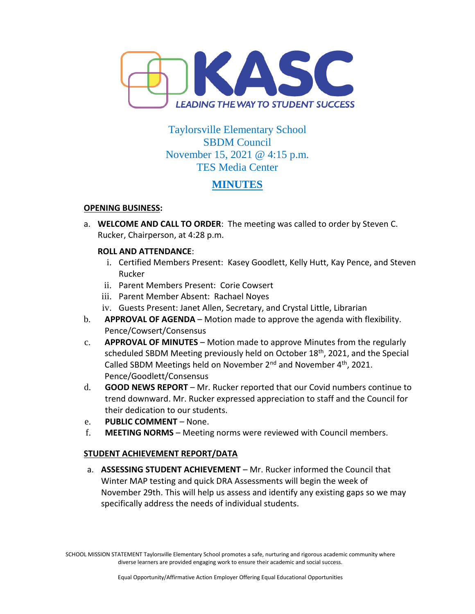

Taylorsville Elementary School SBDM Council November 15, 2021 @ 4:15 p.m. TES Media Center

# **MINUTES**

# **OPENING BUSINESS:**

a. **WELCOME AND CALL TO ORDER**: The meeting was called to order by Steven C. Rucker, Chairperson, at 4:28 p.m.

# **ROLL AND ATTENDANCE**:

- i. Certified Members Present: Kasey Goodlett, Kelly Hutt, Kay Pence, and Steven Rucker
- ii. Parent Members Present: Corie Cowsert
- iii. Parent Member Absent: Rachael Noyes
- iv. Guests Present: Janet Allen, Secretary, and Crystal Little, Librarian
- b. **APPROVAL OF AGENDA** Motion made to approve the agenda with flexibility. Pence/Cowsert/Consensus
- c. **APPROVAL OF MINUTES** Motion made to approve Minutes from the regularly scheduled SBDM Meeting previously held on October 18<sup>th</sup>, 2021, and the Special Called SBDM Meetings held on November 2<sup>nd</sup> and November 4<sup>th</sup>, 2021. Pence/Goodlett/Consensus
- d. **GOOD NEWS REPORT** Mr. Rucker reported that our Covid numbers continue to trend downward. Mr. Rucker expressed appreciation to staff and the Council for their dedication to our students.
- e. **PUBLIC COMMENT** None.
- f. **MEETING NORMS** Meeting norms were reviewed with Council members.

# **STUDENT ACHIEVEMENT REPORT/DATA**

a. **ASSESSING STUDENT ACHIEVEMENT** – Mr. Rucker informed the Council that Winter MAP testing and quick DRA Assessments will begin the week of November 29th. This will help us assess and identify any existing gaps so we may specifically address the needs of individual students.

SCHOOL MISSION STATEMENT Taylorsville Elementary School promotes a safe, nurturing and rigorous academic community where diverse learners are provided engaging work to ensure their academic and social success.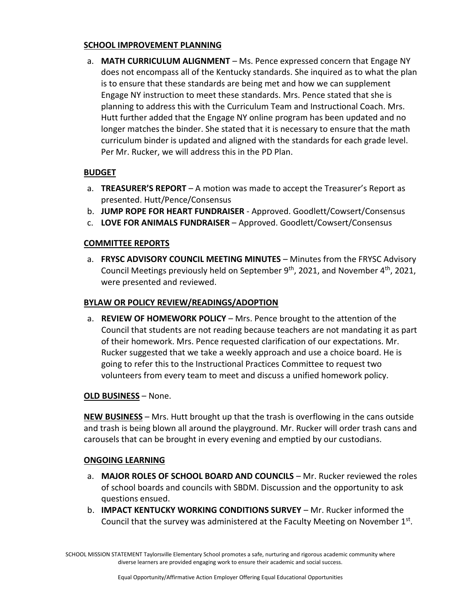#### **SCHOOL IMPROVEMENT PLANNING**

a. **MATH CURRICULUM ALIGNMENT** – Ms. Pence expressed concern that Engage NY does not encompass all of the Kentucky standards. She inquired as to what the plan is to ensure that these standards are being met and how we can supplement Engage NY instruction to meet these standards. Mrs. Pence stated that she is planning to address this with the Curriculum Team and Instructional Coach. Mrs. Hutt further added that the Engage NY online program has been updated and no longer matches the binder. She stated that it is necessary to ensure that the math curriculum binder is updated and aligned with the standards for each grade level. Per Mr. Rucker, we will address this in the PD Plan.

# **BUDGET**

- a. **TREASURER'S REPORT** A motion was made to accept the Treasurer's Report as presented. Hutt/Pence/Consensus
- b. **JUMP ROPE FOR HEART FUNDRAISER** Approved. Goodlett/Cowsert/Consensus
- c. **LOVE FOR ANIMALS FUNDRAISER**  Approved. Goodlett/Cowsert/Consensus

# **COMMITTEE REPORTS**

a. **FRYSC ADVISORY COUNCIL MEETING MINUTES** – Minutes from the FRYSC Advisory Council Meetings previously held on September 9<sup>th</sup>, 2021, and November 4<sup>th</sup>, 2021, were presented and reviewed.

#### **BYLAW OR POLICY REVIEW/READINGS/ADOPTION**

a. **REVIEW OF HOMEWORK POLICY** – Mrs. Pence brought to the attention of the Council that students are not reading because teachers are not mandating it as part of their homework. Mrs. Pence requested clarification of our expectations. Mr. Rucker suggested that we take a weekly approach and use a choice board. He is going to refer this to the Instructional Practices Committee to request two volunteers from every team to meet and discuss a unified homework policy.

#### **OLD BUSINESS** – None.

**NEW BUSINESS** – Mrs. Hutt brought up that the trash is overflowing in the cans outside and trash is being blown all around the playground. Mr. Rucker will order trash cans and carousels that can be brought in every evening and emptied by our custodians.

#### **ONGOING LEARNING**

- a. **MAJOR ROLES OF SCHOOL BOARD AND COUNCILS** Mr. Rucker reviewed the roles of school boards and councils with SBDM. Discussion and the opportunity to ask questions ensued.
- b. **IMPACT KENTUCKY WORKING CONDITIONS SURVEY** Mr. Rucker informed the Council that the survey was administered at the Faculty Meeting on November  $1<sup>st</sup>$ .

SCHOOL MISSION STATEMENT Taylorsville Elementary School promotes a safe, nurturing and rigorous academic community where diverse learners are provided engaging work to ensure their academic and social success.